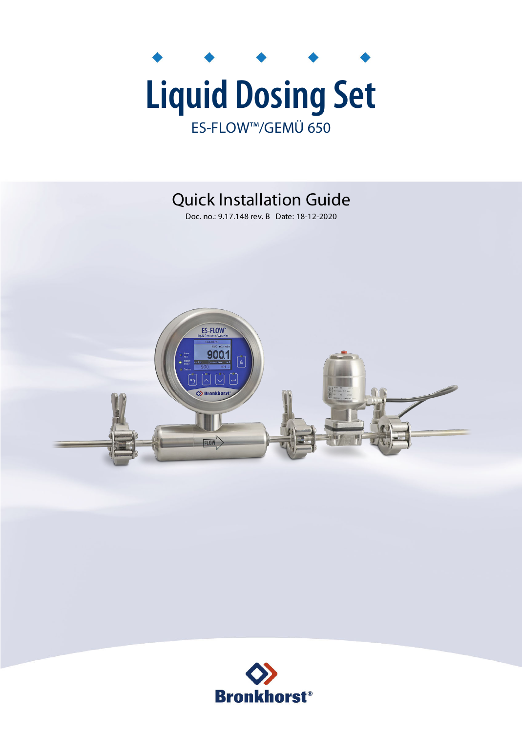

## Quick Installation Guide

Doc. no.: 9.17.148 rev. B Date: 18-12-2020



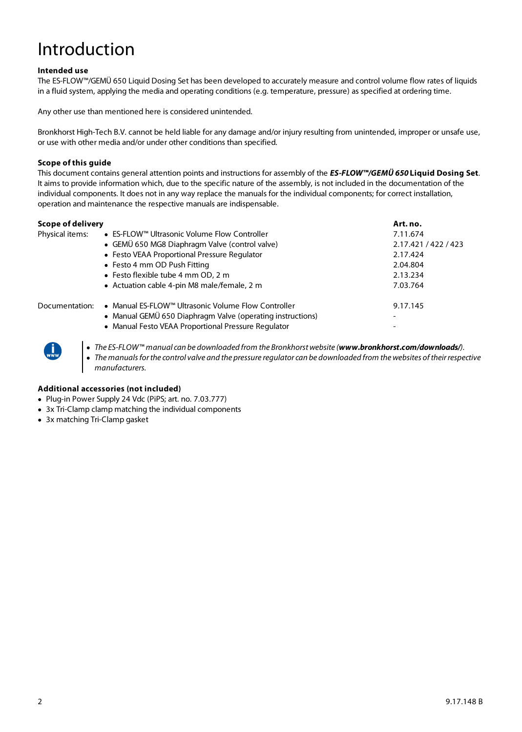# Introduction

### **Intended use**

The ES-FLOW™/GEMÜ 650 Liquid Dosing Set has been developed to accurately measure and control volume flow rates of liquids in a fluid system, applying the media and operating conditions (e.g. temperature, pressure) as specified at ordering time.

Any other use than mentioned here is considered unintended.

Bronkhorst High-Tech B.V. cannot be held liable for any damage and/or injury resulting from unintended, improper or unsafe use, or use with other media and/or under other conditions than specified.

#### **Scope of this guide**

This document contains general attention points and instructions for assembly of the **ES-FLOW™/GEMÜ 650 Liquid Dosing Set**. It aims to provide information which, due to the specific nature of the assembly, is not included in the documentation of the individual components. It does not in any way replace the manuals for the individual components; for correct installation, operation and maintenance the respective manuals are indispensable.

| Scope of delivery |                                                            | Art. no.             |
|-------------------|------------------------------------------------------------|----------------------|
| Physical items:   | ● ES-FLOW™ Ultrasonic Volume Flow Controller               | 7.11.674             |
|                   | • GEMÜ 650 MG8 Diaphragm Valve (control valve)             | 2.17.421 / 422 / 423 |
|                   | • Festo VEAA Proportional Pressure Regulator               | 2.17.424             |
|                   | • Festo 4 mm OD Push Fitting                               | 2.04.804             |
|                   | • Festo flexible tube 4 mm OD, 2 m                         | 2.13.234             |
|                   | • Actuation cable 4-pin M8 male/female, 2 m                | 7.03.764             |
| Documentation:    | ● Manual ES-FLOW™ Ultrasonic Volume Flow Controller        | 9.17.145             |
|                   | • Manual GEMÜ 650 Diaphragm Valve (operating instructions) |                      |
|                   | • Manual Festo VEAA Proportional Pressure Regulator        |                      |
|                   |                                                            |                      |



· The ES-FLOW™ manual can be downloaded from the Bronkhorst website (**www.bronkhorst.com/downloads/**).

· The manuals for the control valve and the pressure regulator can be downloaded from the websites of their respective manufacturers.

#### **Additional accessories (not included)**

- · Plug-in Power Supply 24 Vdc (PiPS; art. no. 7.03.777)
- 3x Tri-Clamp clamp matching the individual components
- · 3x matching Tri-Clamp gasket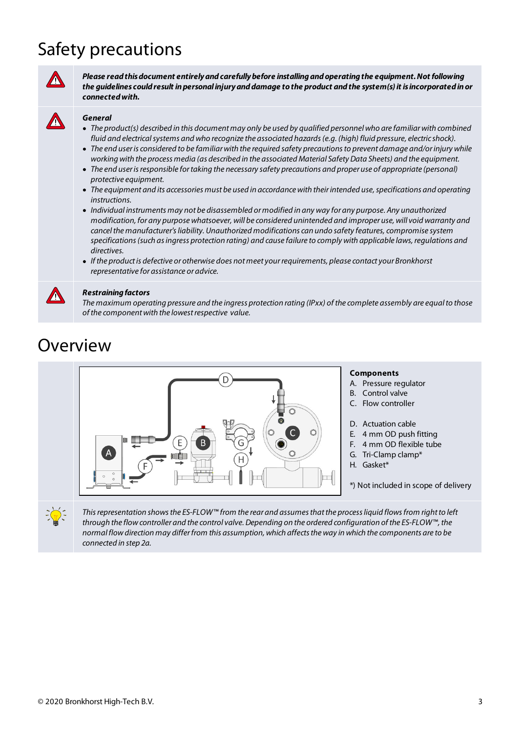# Safety precautions



**Please read this document entirely and carefully before installing and operating the equipment. Not following the guidelines could result in personal injury and damage to the product and the system(s) it is incorporated in or connected with.**

### **General**

- · The product(s) described in this document may only be used by qualified personnel who are familiar with combined fluid and electrical systems and who recognize the associated hazards (e.g. (high) fluid pressure, electric shock).
- · The end user is considered to be familiar with the required safety precautions to prevent damage and/or injury while working with the process media (as described in the associated Material Safety Data Sheets) and the equipment.
- · The end user is responsible for taking the necessary safety precautions and proper use of appropriate (personal) protective equipment.
- · The equipment and its accessories must be used in accordance with their intended use, specifications and operating instructions.
- · Individual instruments may not be disassembled or modified in any way for any purpose. Any unauthorized modification, for any purpose whatsoever, will be considered unintended and improper use, will void warranty and cancel the manufacturer's liability. Unauthorized modifications can undo safety features, compromise system specifications (such as ingress protection rating) and cause failure to comply with applicable laws, regulations and directives.
- · If the product is defective or otherwise does not meet your requirements, please contact your Bronkhorst representative for assistance or advice.



### **Restraining factors**

The maximum operating pressure and the ingress protection rating (IPxx) of the complete assembly are equal to those of the component with the lowest respective value.

### Overview



This representation shows the ES-FLOW™ from the rear and assumes that the process liquid flows from right to left through the flow controller and the control valve. Depending on the ordered configuration of the ES-FLOW™, the normal flow direction may differ from this assumption, which affects the way in which the components are to be connected in step 2a.